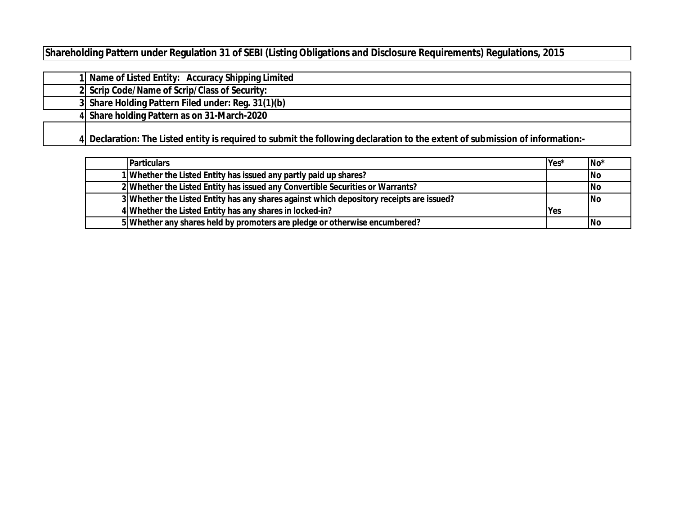**Shareholding Pattern under Regulation 31 of SEBI (Listing Obligations and Disclosure Requirements) Regulations, 2015**

|  | 1 Name of Listed Entity: Accuracy Shipping Limited                                                                            |
|--|-------------------------------------------------------------------------------------------------------------------------------|
|  | 2 Scrip Code/Name of Scrip/Class of Security:                                                                                 |
|  | 3 Share Holding Pattern Filed under: Reg. 31(1)(b)                                                                            |
|  | 4 Share holding Pattern as on 31-March-2020                                                                                   |
|  | 4 Declaration: The Listed entity is required to submit the following declaration to the extent of submission of information:- |

| <b>Particulars</b>                                                                       | lYes*      | lNo*      |
|------------------------------------------------------------------------------------------|------------|-----------|
| 1 Whether the Listed Entity has issued any partly paid up shares?                        |            | <b>No</b> |
| 2 Whether the Listed Entity has issued any Convertible Securities or Warrants?           |            | No        |
| 3 Whether the Listed Entity has any shares against which depository receipts are issued? |            | No        |
| 4 Whether the Listed Entity has any shares in locked-in?                                 | <b>Yes</b> |           |
| 5 Whether any shares held by promoters are pledge or otherwise encumbered?               |            | <b>No</b> |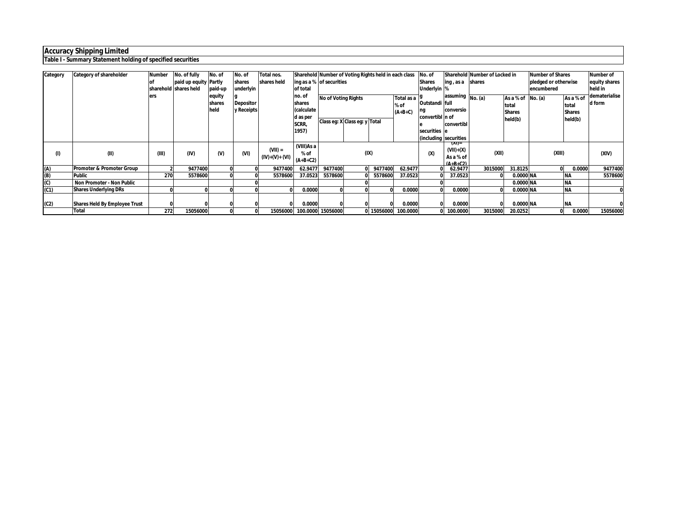### **Table I - Summary Statement holding of specified securities**

| Category | <b>Category of shareholder</b>                       | <b>Number</b> | No. of fully<br>paid up equity Partly<br>sharehold shares held | No. of<br>paid-up        | No. of<br>shares<br>underlyin  | Total nos.<br>shares held   | Sharehold Number of Voting Rights held in each class<br>of total<br>no. of | ing as a % of securities                                    |      |            |                                 | No. of<br><b>Shares</b><br>Underlyin %                                           | ing, as a                                                              | Sharehold Number of Locked in<br><b>Ishares</b> |                                                | <b>Number of Shares</b><br>pledged or otherwise<br>encumbered |                                                | <b>Number of</b><br>equity shares<br>heid in<br>dematerialise |
|----------|------------------------------------------------------|---------------|----------------------------------------------------------------|--------------------------|--------------------------------|-----------------------------|----------------------------------------------------------------------------|-------------------------------------------------------------|------|------------|---------------------------------|----------------------------------------------------------------------------------|------------------------------------------------------------------------|-------------------------------------------------|------------------------------------------------|---------------------------------------------------------------|------------------------------------------------|---------------------------------------------------------------|
|          |                                                      | ers           |                                                                | equity<br>shares<br>held | <b>Depositor</b><br>y Receipts |                             | shares<br>(calculate<br>d as per<br>SCRR,<br>1957)                         | <b>No of Voting Rights</b><br>Class eq: X Class eq: y Total |      |            | Total as a<br>% of<br>$(A+B+C)$ | Outstandi full<br>ng<br>convertibl n of<br>securities e<br>(including securities | assuming $\boxed{\mathsf{No}.(\mathsf{a})}$<br>conversio<br>convertibl |                                                 | As a % of<br>total<br><b>Shares</b><br>held(b) | No. (a)                                                       | As a % of<br>total<br><b>Shares</b><br>held(b) | d form                                                        |
| (1)      | (II)                                                 | (III)         | (IV)                                                           | $W$                      | (VI)                           | $(VII) =$<br>(IV)+(V)+ (VI) | (VIII) As a<br>% of<br>$(A+B+C2)$                                          |                                                             | (IX) |            |                                 | (x)                                                                              | (XI)=<br>$(VII)+(X)$<br>As a % of<br>$(A+R+C2)$                        | (XII)                                           |                                                | (XIII)                                                        |                                                | (XIV)                                                         |
| (A)      | Promoter & Promoter Group                            |               | 9477400                                                        |                          |                                | 9477400                     | 62.9477                                                                    | 9477400                                                     |      | 9477400    | 62.9477                         |                                                                                  | 62.9477                                                                | 3015000                                         | 31.8125                                        |                                                               | 0.0000                                         | 9477400                                                       |
| (B)      | Public                                               | 270           | 5578600                                                        |                          |                                | 5578600                     | 37.0523                                                                    | 5578600                                                     |      | 5578600    | 37.0523                         |                                                                                  | 37.0523                                                                |                                                 | 0.0000 NA                                      |                                                               | <b>NA</b>                                      | 5578600                                                       |
| 3        | <b>Non Promoter - Non Public</b>                     |               |                                                                |                          |                                |                             |                                                                            |                                                             |      |            |                                 |                                                                                  |                                                                        |                                                 | 0.0000 NA                                      |                                                               | <b>NA</b>                                      |                                                               |
| (C1)     | <b>Shares Underlying DRs</b>                         |               |                                                                |                          |                                |                             | 0.0000                                                                     |                                                             |      |            | 0.0000                          | 0 I                                                                              | 0.0000                                                                 |                                                 | 0.0000 NA                                      |                                                               | <b>INA</b>                                     |                                                               |
| (C2)     | <b>Shares Held By Employee Trust</b><br><b>Total</b> | 272           | 15056000                                                       |                          |                                | 15056000                    | 0.0000                                                                     | 100.0000 15056000                                           |      | 0 15056000 | 0.0000<br>100.0000              | 01                                                                               | 0.0000<br>0 100.0000                                                   | 3015000                                         | 0.0000 NA<br>20.0252                           |                                                               | <b>NA</b><br>0.0000                            | 15056000                                                      |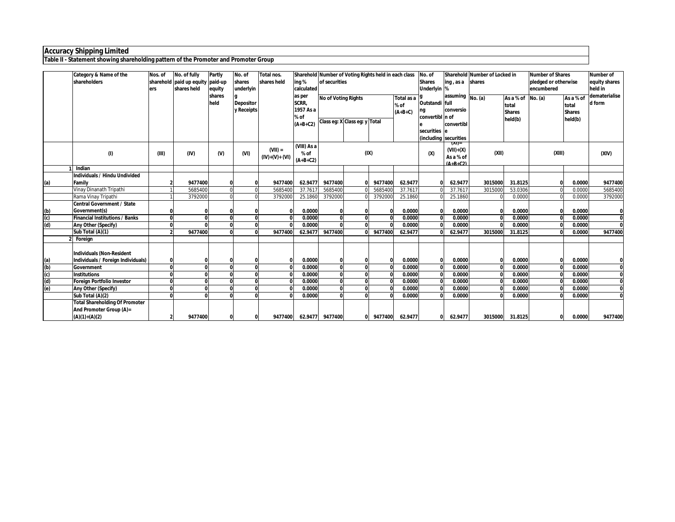**Table II - Statement showing shareholding pattern of the Promoter and Promoter Group**

|     | Category & Name of the<br>shareholders                          | Nos. of<br>ers | No. of fully<br>sharehold paid up equity paid-up<br>shares held | Partly<br>equity | No. of<br>shares<br>underlyin  | Total nos.<br>shares held    | Sharehold Number of Voting Rights held in each class<br>ing %<br>calculated | of securities                 |          |              |                                    | No. of<br><b>Shares</b><br>Underlyin % | ing, as a                                       | Sharehold Number of Locked in<br>shares |                                                        | <b>Number of Shares</b><br>pledged or otherwise<br>encumbered |                                                | <b>Number of</b><br>equity shares<br>held in |
|-----|-----------------------------------------------------------------|----------------|-----------------------------------------------------------------|------------------|--------------------------------|------------------------------|-----------------------------------------------------------------------------|-------------------------------|----------|--------------|------------------------------------|----------------------------------------|-------------------------------------------------|-----------------------------------------|--------------------------------------------------------|---------------------------------------------------------------|------------------------------------------------|----------------------------------------------|
|     |                                                                 |                |                                                                 | shares<br>held   | <b>Depositor</b><br>y Receipts |                              | as per<br>SCRR,<br>1957 As a<br>% of                                        | <b>No of Voting Rights</b>    |          |              | Total as a 19<br>% of<br>$(A+B+C)$ | Outstandi full<br>convertibl n of      | assuming No. (a)<br>conversio                   |                                         | As a % of No. (a)<br>total<br><b>Shares</b><br>held(b) |                                                               | As a % of<br>total<br><b>Shares</b><br>held(b) | dematerialise<br>d form                      |
|     |                                                                 |                |                                                                 |                  |                                |                              | $(A+B+C2)$                                                                  | Class eg: X Class eg: y Total |          |              |                                    | securities                             | convertibl<br>(includina Isecurities            |                                         |                                                        |                                                               |                                                |                                              |
|     | (1)                                                             | (III)          | (IV)                                                            | $(V)$            | (VI)                           | $(VII) =$<br>$(IV)+(V)+(VI)$ | (VIII) As a<br>% of<br>$(A+B+C2)$                                           |                               |          | (IX)         |                                    | (x)                                    | (XI)=<br>$(VII)+(X)$<br>As a % of<br>$(A+R+C2)$ | (XII)                                   |                                                        | (XIII)                                                        |                                                | (XIV)                                        |
|     | 1 Indian                                                        |                |                                                                 |                  |                                |                              |                                                                             |                               |          |              |                                    |                                        |                                                 |                                         |                                                        |                                                               |                                                |                                              |
|     | Individuals / Hindu Undivided                                   |                |                                                                 |                  |                                |                              |                                                                             |                               |          |              |                                    |                                        |                                                 |                                         |                                                        |                                                               |                                                |                                              |
| (a) | Family                                                          |                | 9477400                                                         | $\mathbf{0}$     |                                | 9477400                      | 62.9477                                                                     | 9477400                       |          | 9477400      | 62.9477                            |                                        | 62.9477                                         | 3015000                                 | 31.8125                                                |                                                               | 0.0000                                         | 9477400                                      |
|     | Vinay Dinanath Tripathi                                         |                | 5685400                                                         | $\Omega$         |                                | 5685400                      | 37.7617                                                                     | 5685400                       |          | 5685400      | 37.761                             |                                        | 37.7617                                         | 301500                                  | 53.0306                                                |                                                               | 0.0000                                         | 5685400                                      |
|     | Rama Vinay Tripathi                                             |                | 3792000                                                         | $\Omega$         |                                | 3792000                      | 25.1860                                                                     | 3792000                       |          | 3792000      | 25.1860                            |                                        | 25.1860                                         |                                         | 0.0000                                                 |                                                               | 0.0000                                         | 3792000                                      |
|     | Central Government / State                                      |                |                                                                 |                  |                                |                              |                                                                             |                               |          |              |                                    |                                        |                                                 |                                         |                                                        |                                                               |                                                |                                              |
| (b) | Government(s)                                                   |                |                                                                 |                  |                                |                              | 0.0000                                                                      |                               |          |              | 0.0000                             |                                        | 0.0000                                          |                                         | 0.0000                                                 | $\Omega$                                                      | 0.0000                                         |                                              |
| (c) | <b>Financial Institutions / Banks</b>                           | <sup>0</sup>   |                                                                 | $\mathbf{0}$     |                                |                              | 0.0000                                                                      | n                             |          |              | 0.0000                             |                                        | 0.0000                                          |                                         | 0.0000                                                 | $\Omega$                                                      | 0.0000                                         | <sup>0</sup>                                 |
| (d) | Any Other (Specify)                                             | <sup>0</sup>   |                                                                 | $\mathbf{0}$     |                                |                              | 0.0000                                                                      |                               |          |              | 0.0000                             |                                        | 0.0000                                          |                                         | 0.0000                                                 | $\Omega$                                                      | 0.0000                                         | $\Omega$                                     |
|     | Sub Total (A)(1)                                                |                | 9477400                                                         | $\Omega$         |                                | 9477400                      | 62.9477                                                                     | 9477400                       |          | 9477400      | 62.9477                            |                                        | 62.9477                                         | 3015000                                 | 31.8125                                                |                                                               | 0.0000                                         | 9477400                                      |
|     | 2 Foreian                                                       |                |                                                                 |                  |                                |                              |                                                                             |                               |          |              |                                    |                                        |                                                 |                                         |                                                        |                                                               |                                                |                                              |
| (a) | Individuals (Non-Resident<br>Individuals / Foreign Individuals) |                |                                                                 | 0                |                                |                              | 0.0000                                                                      | 0                             |          | $\mathsf{r}$ | 0.0000                             | $\Omega$                               | 0.0000                                          |                                         | 0.0000                                                 | $\Omega$                                                      | 0.0000                                         |                                              |
| (b) | Government                                                      | $\mathbf{0}$   |                                                                 | $\mathbf{0}$     |                                |                              | 0.0000                                                                      | $\Omega$                      |          |              | 0.0000                             |                                        | 0.0000                                          |                                         | 0.0000                                                 | $\mathbf 0$                                                   | 0.0000                                         | $\mathbf{0}$                                 |
| (c) | <b>Institutions</b>                                             | <sup>0</sup>   |                                                                 | $\mathbf{0}$     |                                |                              | 0.0000                                                                      | $\bf{0}$                      |          |              | 0.0000                             |                                        | 0.0000                                          |                                         | 0.0000                                                 | $\Omega$                                                      | 0.0000                                         | $\mathbf{0}$                                 |
| (d) | <b>Foreign Portfolio Investor</b>                               | <sup>0</sup>   |                                                                 | $\mathbf{0}$     |                                |                              | 0.0000                                                                      | $\Omega$                      |          |              | 0.0000                             |                                        | 0.0000                                          |                                         | 0.0000                                                 | $\mathbf{0}$                                                  | 0.0000                                         | $\mathbf{0}$                                 |
| (e) | Any Other (Specify)                                             | <sup>0</sup>   |                                                                 | $\mathbf{0}$     |                                |                              | 0.0000                                                                      | $\Omega$                      |          |              | 0.0000                             |                                        | 0.0000                                          |                                         | 0.0000                                                 | $\Omega$                                                      | 0.0000                                         |                                              |
|     | Sub Total (A)(2)                                                | $\mathbf{a}$   |                                                                 | $\mathbf{0}$     |                                |                              | 0.0000                                                                      | $\Omega$                      |          |              | 0.0000                             |                                        | 0.0000                                          |                                         | 0.0000                                                 |                                                               | 0.0000                                         |                                              |
|     | <b>Total Shareholding Of Promoter</b>                           |                |                                                                 |                  |                                |                              |                                                                             |                               |          |              |                                    |                                        |                                                 |                                         |                                                        |                                                               |                                                |                                              |
|     | And Promoter Group (A)=                                         |                |                                                                 |                  |                                |                              |                                                                             |                               |          |              |                                    |                                        |                                                 |                                         |                                                        |                                                               |                                                |                                              |
|     | $(A)(1)+(A)(2)$                                                 |                | 9477400                                                         | $\mathbf{0}$     | ΩI                             | 9477400                      |                                                                             | 62.9477 9477400               | $\Omega$ | 9477400      | 62.9477                            | $\Omega$                               | 62.9477                                         | 3015000                                 | 31.8125                                                |                                                               | 0.0000                                         | 9477400                                      |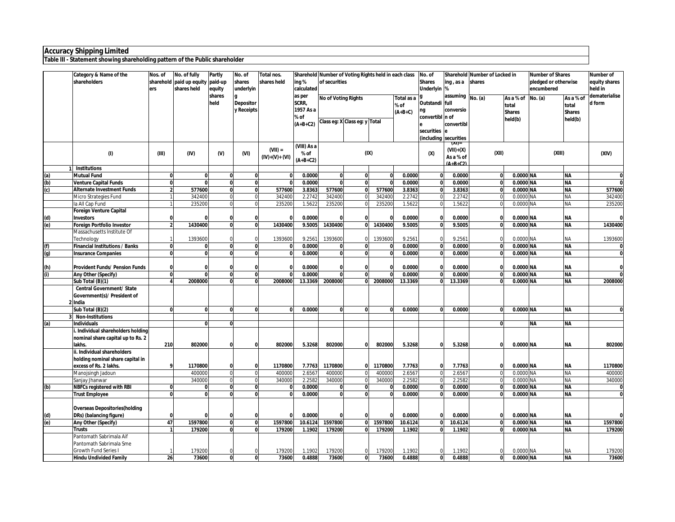**Table III - Statement showing shareholding pattern of the Public shareholder**

| Sharehold Number of Voting Rights held in each class<br>shareholders<br>sharehold paid up equity<br>paid-up<br>shares<br>shares held<br>ing %<br>of securities<br><b>Shares</b><br>shares<br>pledged or otherwise<br>equity shares<br>ing, as a<br>Underlyin %<br>shares held<br>underlyin<br>calculated<br>encumbered<br>held in<br>ers<br>equity<br>shares<br>dematerialise<br>as per<br>assuming No. (a)<br>As a % of<br><b>No of Voting Rights</b><br>Total as a<br>As a % of<br>No. (a)<br>held<br>SCRR,<br>Outstandi full<br>d form<br><b>Depositor</b><br>% of<br>total<br>total<br>y Receipts<br>1957 As a<br>conversio<br>ng<br>$(A+B+C)$<br><b>Shares</b><br><b>Shares</b><br>convertibl n of<br>% of<br>held(b)<br>held(b)<br>Class eg: X Class eg: y Total<br>$(A+B+C2)$<br>convertibl<br>securities<br>le<br>(including securities<br>(XI)=<br>(VIII) As a<br>$(VII) =$<br>$(VII)+(X)$<br>(IX)<br>(XIII)<br>(1)<br>(III)<br>(IV)<br>(VI)<br>(X)<br>(XII)<br>(XIV)<br>$(V)$<br>% of<br>$(IV)+(V)+(VI)$<br>As a % of<br>$(A+B+C2)$<br>$(A+R+C2)$<br>1 Institutions<br>0.0000<br>0.0000 NA<br><b>Mutual Fund</b><br>0.0000<br>$\mathbf{0}$<br>$\mathbf{0}$<br>0.0000<br><b>NA</b><br>(a)<br>0<br>$\mathbf 0$<br>$\mathbf{0}$<br>$\mathbf 0$<br>0<br>$\Omega$<br>$\Omega$<br>O<br>$\overline{0}$<br>0.0000<br>0.0000 NA<br>$\overline{\mathbf{0}}$<br>(b)<br><b>Venture Capital Funds</b><br><sub>0</sub><br>0.0000<br>$\mathbf{0}$<br>$\mathbf{0}$<br>0.0000<br><b>NA</b><br>$\mathbf{0}$<br>$\mathbf{0}$<br>O<br>577600<br>$\mathbf{0}$<br>577600<br>3.8363<br>577600<br>$\mathbf{0}$<br>577600<br>3.8363<br>$\mathbf{0}$<br>3.8363<br>0.0000 NA<br>577600<br>(c)<br><b>Alternate Investment Funds</b><br>$\overline{ }$<br>$\mathbf{0}$<br><b>NA</b><br>342400<br>2.2742<br>2.2742<br>342400<br>Micro Strategies Fund<br>342400<br>342400<br>2.2742<br>342400<br>0.0000 NA<br><b>NA</b><br>$\mathbf 0$<br>$\mathbf 0$<br>$\mathbf{0}$<br>$\overline{0}$<br>235200<br>235200<br>235200<br>$\mathbf 0$<br>235200<br>1.5622<br>235200<br>1.5622<br>1.5622<br>0.0000 NA<br>NA<br>la All Cap Fund<br><b>Foreign Venture Capital</b><br>0.0000<br><b>NA</b><br>0.0000<br>0.0000<br>0.0000 NA<br>(d)<br><b>Investors</b><br>$\mathbf 0$<br>$\bf{0}$<br>$\bf{0}$<br>$\Omega$<br>$\Omega$<br>1430400<br>1430400<br>1430400<br>1430400<br>9.5005<br>9.5005<br>(e)<br><b>Foreign Portfolio Investor</b><br>$\mathbf{0}$<br>9.5005<br>0.0000 NA<br><b>NA</b><br>1430400<br>$\Omega$<br>$\Omega$<br>U<br>Massachusetts Institute Of<br>1393600<br>9.2561<br>Technology<br>1393600<br>9.2561<br>1393600<br>1393600<br>9.2561<br>0.0000 NA<br><b>NA</b><br>1393600<br>$\Omega$<br>$\Omega$<br>0.0000<br>0.0000<br>0.0000<br>0.0000 NA<br><b>NA</b><br>(f)<br><b>Financial Institutions / Banks</b><br>O<br>$\mathbf{0}$<br>$\mathbf{0}$<br>$\bf{0}$<br>$\Omega$<br>$\bf{0}$<br>$\boldsymbol{0}$<br>$\overline{\mathbf{0}}$<br>$\overline{\mathbf{0}}$<br><b>NA</b><br>O<br>0.0000<br>$\mathbf{0}$<br>$\mathbf{0}$<br>0.0000<br>$\mathbf{0}$<br>0.0000<br>0.0000 NA<br><b>Insurance Companies</b><br>$\Omega$<br>(g)<br>0.0000<br>0.0000<br>0.0000<br>0.0000 NA<br><b>NA</b><br><b>Provident Funds/ Pension Funds</b><br>$\mathbf{0}$<br>$\mathbf 0$<br>(h)<br>$\mathbf 0$<br>$\Omega$<br>$\mathbf{0}$<br>0<br>$\overline{0}$<br>0.0000<br><b>NA</b><br>$\Omega$<br>$\mathbf{0}$<br>0.0000<br>$\mathbf{0}$<br>$\mathbf{0}$<br>0.0000<br>0.0000 NA<br>(i)<br>Any Other (Specify)<br>$\mathbf{0}$<br>2008000<br><b>NA</b><br>Sub Total (B)(1)<br>$\mathbf{0}$<br>2008000<br>13.3369<br>2008000<br>2008000<br>13.3369<br>$\mathbf{0}$<br>13.3369<br>0.0000 NA<br>2008000<br>$\Omega$<br>$\bf{0}$<br>O<br><b>Central Government/ State</b><br>Government(s)/ President of<br>2 India<br>Sub Total (B)(2)<br>0.0000<br>$\overline{0}$<br>0.0000<br>0.0000<br>0.0000 NA<br><b>NA</b><br>$\mathbf{0}$<br><sub>0</sub><br>$\mathbf{0}$<br>$\mathbf{0}$<br>0<br>$\mathbf{0}$<br>$\mathbf{0}$<br>$\Omega$<br>$\Omega$<br>O<br><b>Non-Institutions</b><br>(a)<br><b>Individuals</b><br>$\Omega$<br><b>NA</b><br><b>NA</b><br>i. Individual shareholders holding<br>nominal share capital up to Rs. 2<br>802000<br>lakhs.<br>210<br>802000<br>802000<br>5.3268<br>802000<br>5.3268<br>5.3268<br>0.0000 NA<br><b>NA</b><br>802000<br>$\mathbf 0$<br>$\mathbf{0}$<br>$\bf{0}$<br>$\bf{0}$<br>ii. Individual shareholders<br>holding nominal share capital in<br>excess of Rs. 2 lakhs.<br>1170800<br>1170800<br>7.7763<br>7.7763<br>0.0000 NA<br><b>NA</b><br>1170800<br>1170800<br>7.7763<br>1170800<br>$\bf{0}$<br>$\mathbf{0}$<br>0<br>$\bf{0}$<br>2.6567<br>400000<br>$\mathbf 0$<br>2.6567<br>400000<br>2.6567<br>0.0000 NA<br>400000<br>Manojsingh Jadoun<br>400000<br>400000<br>$\overline{0}$<br><b>NA</b><br>$\mathbf 0$<br>$\Omega$<br>2.2582<br>340000<br>340000<br>2.2582<br>340000<br>340000<br>2.2582<br>0.0000 NA<br>NA<br>340000<br>Sanjay Jhanwar<br>$\mathbf 0$<br>$\Omega$<br>$\overline{0}$<br>$\Omega$<br>$\overline{\mathbf{0}}$<br><b>NA</b><br><b>NBFCs registered with RBI</b><br>0.0000<br>$\bf{0}$<br>0.0000<br>0.0000<br>0.0000 NA<br>(b)<br>$\Omega$<br>$\mathbf 0$<br>ŋ<br>$\Omega$<br>$\mathbf{0}$<br>ō<br>$\mathbf{0}$<br><b>Trust Employee</b><br>$\mathbf{0}$<br>0.0000<br>$\mathbf{0}$<br>0.0000<br>$\mathbf{0}$<br>0.0000<br>0.0000 NA<br><b>NA</b><br><sub>0</sub><br>$\Omega$<br>$\mathbf{0}$<br>U<br><b>Overseas Depositories (holding</b><br>0.0000<br>0.0000<br>0.0000<br>0.0000 NA<br><b>NA</b><br>$\mathbf{0}$<br>DRs) (balancing figure)<br>$\mathbf 0$<br>(d)<br>$\mathbf 0$<br>$\mathbf{0}$<br>$\bf{0}$<br>(e)<br>47<br>1597800<br>1597800<br>10.6124<br>1597800<br>1597800<br>10.6124<br>10.6124<br>0.0000 NA<br><b>NA</b><br>1597800<br>Any Other (Specify)<br>$\mathbf{0}$<br>$\mathbf{0}$<br>0<br>$\mathbf{0}$<br>179200<br>$\overline{0}$<br>179200<br>179200<br>179200<br>1.1902<br>179200<br>1.1902<br>1.1902<br>0.0000 NA<br><b>NA</b><br><b>Trusts</b><br>$\mathbf{0}$<br>0<br>Pantomath Sabrimala Aif<br>Pantomath Sabrimala Sme<br>Growth Fund Series I<br>179200<br>179200<br>179200<br>179200<br>1.1902<br>179200<br>1.1902<br>1.1902<br>0.0000 NA<br>NA<br><b>Hindu Undivided Family</b><br>73600<br>$\mathbf{0}$<br>73600<br>0.4888<br>73600<br>73600<br>0.4888<br>0.4888<br>0.0000 NA<br><b>NA</b><br>73600<br>26<br>$\mathbf{0}$<br>$\mathbf{0}$<br>$\mathbf{0}$ | Category & Name of the | Nos. of | No. of fully | Partly | No. of | Total nos. |  |  | No. of | Sharehold Number of Locked in |  | <b>Number of Shares</b> | Number of |
|---------------------------------------------------------------------------------------------------------------------------------------------------------------------------------------------------------------------------------------------------------------------------------------------------------------------------------------------------------------------------------------------------------------------------------------------------------------------------------------------------------------------------------------------------------------------------------------------------------------------------------------------------------------------------------------------------------------------------------------------------------------------------------------------------------------------------------------------------------------------------------------------------------------------------------------------------------------------------------------------------------------------------------------------------------------------------------------------------------------------------------------------------------------------------------------------------------------------------------------------------------------------------------------------------------------------------------------------------------------------------------------------------------------------------------------------------------------------------------------------------------------------------------------------------------------------------------------------------------------------------------------------------------------------------------------------------------------------------------------------------------------------------------------------------------------------------------------------------------------------------------------------------------------------------------------------------------------------------------------------------------------------------------------------------------------------------------------------------------------------------------------------------------------------------------------------------------------------------------------------------------------------------------------------------------------------------------------------------------------------------------------------------------------------------------------------------------------------------------------------------------------------------------------------------------------------------------------------------------------------------------------------------------------------------------------------------------------------------------------------------------------------------------------------------------------------------------------------------------------------------------------------------------------------------------------------------------------------------------------------------------------------------------------------------------------------------------------------------------------------------------------------------------------------------------------------------------------------------------------------------------------------------------------------------------------------------------------------------------------------------------------------------------------------------------------------------------------------------------------------------------------------------------------------------------------------------------------------------------------------------------------------------------------------------------------------------------------------------------------------------------------------------------------------------------------------------------------------------------------------------------------------------------------------------------------------------------------------------------------------------------------------------------------------------------------------------------------------------------------------------------------------------------------------------------------------------------------------------------------------------------------------------------------------------------------------------------------------------------------------------------------------------------------------------------------------------------------------------------------------------------------------------------------------------------------------------------------------------------------------------------------------------------------------------------------------------------------------------------------------------------------------------------------------------------------------------------------------------------------------------------------------------------------------------------------------------------------------------------------------------------------------------------------------------------------------------------------------------------------------------------------------------------------------------------------------------------------------------------------------------------------------------------------------------------------------------------------------------------------------------------------------------------------------------------------------------------------------------------------------------------------------------------------------------------------------------------------------------------------------------------------------------------------------------------------------------------------------------------------------------------------------------------------------------------------------------------------------------------------------------------------------------------------------------------------------------------------------------------------------------------------------------------------------------------------------------------------------------------------------------------------------------------------------------------------------------------------------------------------------------------------------------------------------------------------------------------------------------------------------------------------------------------------|------------------------|---------|--------------|--------|--------|------------|--|--|--------|-------------------------------|--|-------------------------|-----------|
|                                                                                                                                                                                                                                                                                                                                                                                                                                                                                                                                                                                                                                                                                                                                                                                                                                                                                                                                                                                                                                                                                                                                                                                                                                                                                                                                                                                                                                                                                                                                                                                                                                                                                                                                                                                                                                                                                                                                                                                                                                                                                                                                                                                                                                                                                                                                                                                                                                                                                                                                                                                                                                                                                                                                                                                                                                                                                                                                                                                                                                                                                                                                                                                                                                                                                                                                                                                                                                                                                                                                                                                                                                                                                                                                                                                                                                                                                                                                                                                                                                                                                                                                                                                                                                                                                                                                                                                                                                                                                                                                                                                                                                                                                                                                                                                                                                                                                                                                                                                                                                                                                                                                                                                                                                                                                                                                                                                                                                                                                                                                                                                                                                                                                                                                                                                                                                                                                                                                                                                                                                                                                                                                                                                                                                                                                                                                                                                                               |                        |         |              |        |        |            |  |  |        |                               |  |                         |           |
|                                                                                                                                                                                                                                                                                                                                                                                                                                                                                                                                                                                                                                                                                                                                                                                                                                                                                                                                                                                                                                                                                                                                                                                                                                                                                                                                                                                                                                                                                                                                                                                                                                                                                                                                                                                                                                                                                                                                                                                                                                                                                                                                                                                                                                                                                                                                                                                                                                                                                                                                                                                                                                                                                                                                                                                                                                                                                                                                                                                                                                                                                                                                                                                                                                                                                                                                                                                                                                                                                                                                                                                                                                                                                                                                                                                                                                                                                                                                                                                                                                                                                                                                                                                                                                                                                                                                                                                                                                                                                                                                                                                                                                                                                                                                                                                                                                                                                                                                                                                                                                                                                                                                                                                                                                                                                                                                                                                                                                                                                                                                                                                                                                                                                                                                                                                                                                                                                                                                                                                                                                                                                                                                                                                                                                                                                                                                                                                                               |                        |         |              |        |        |            |  |  |        |                               |  |                         |           |
|                                                                                                                                                                                                                                                                                                                                                                                                                                                                                                                                                                                                                                                                                                                                                                                                                                                                                                                                                                                                                                                                                                                                                                                                                                                                                                                                                                                                                                                                                                                                                                                                                                                                                                                                                                                                                                                                                                                                                                                                                                                                                                                                                                                                                                                                                                                                                                                                                                                                                                                                                                                                                                                                                                                                                                                                                                                                                                                                                                                                                                                                                                                                                                                                                                                                                                                                                                                                                                                                                                                                                                                                                                                                                                                                                                                                                                                                                                                                                                                                                                                                                                                                                                                                                                                                                                                                                                                                                                                                                                                                                                                                                                                                                                                                                                                                                                                                                                                                                                                                                                                                                                                                                                                                                                                                                                                                                                                                                                                                                                                                                                                                                                                                                                                                                                                                                                                                                                                                                                                                                                                                                                                                                                                                                                                                                                                                                                                                               |                        |         |              |        |        |            |  |  |        |                               |  |                         |           |
|                                                                                                                                                                                                                                                                                                                                                                                                                                                                                                                                                                                                                                                                                                                                                                                                                                                                                                                                                                                                                                                                                                                                                                                                                                                                                                                                                                                                                                                                                                                                                                                                                                                                                                                                                                                                                                                                                                                                                                                                                                                                                                                                                                                                                                                                                                                                                                                                                                                                                                                                                                                                                                                                                                                                                                                                                                                                                                                                                                                                                                                                                                                                                                                                                                                                                                                                                                                                                                                                                                                                                                                                                                                                                                                                                                                                                                                                                                                                                                                                                                                                                                                                                                                                                                                                                                                                                                                                                                                                                                                                                                                                                                                                                                                                                                                                                                                                                                                                                                                                                                                                                                                                                                                                                                                                                                                                                                                                                                                                                                                                                                                                                                                                                                                                                                                                                                                                                                                                                                                                                                                                                                                                                                                                                                                                                                                                                                                                               |                        |         |              |        |        |            |  |  |        |                               |  |                         |           |
|                                                                                                                                                                                                                                                                                                                                                                                                                                                                                                                                                                                                                                                                                                                                                                                                                                                                                                                                                                                                                                                                                                                                                                                                                                                                                                                                                                                                                                                                                                                                                                                                                                                                                                                                                                                                                                                                                                                                                                                                                                                                                                                                                                                                                                                                                                                                                                                                                                                                                                                                                                                                                                                                                                                                                                                                                                                                                                                                                                                                                                                                                                                                                                                                                                                                                                                                                                                                                                                                                                                                                                                                                                                                                                                                                                                                                                                                                                                                                                                                                                                                                                                                                                                                                                                                                                                                                                                                                                                                                                                                                                                                                                                                                                                                                                                                                                                                                                                                                                                                                                                                                                                                                                                                                                                                                                                                                                                                                                                                                                                                                                                                                                                                                                                                                                                                                                                                                                                                                                                                                                                                                                                                                                                                                                                                                                                                                                                                               |                        |         |              |        |        |            |  |  |        |                               |  |                         |           |
|                                                                                                                                                                                                                                                                                                                                                                                                                                                                                                                                                                                                                                                                                                                                                                                                                                                                                                                                                                                                                                                                                                                                                                                                                                                                                                                                                                                                                                                                                                                                                                                                                                                                                                                                                                                                                                                                                                                                                                                                                                                                                                                                                                                                                                                                                                                                                                                                                                                                                                                                                                                                                                                                                                                                                                                                                                                                                                                                                                                                                                                                                                                                                                                                                                                                                                                                                                                                                                                                                                                                                                                                                                                                                                                                                                                                                                                                                                                                                                                                                                                                                                                                                                                                                                                                                                                                                                                                                                                                                                                                                                                                                                                                                                                                                                                                                                                                                                                                                                                                                                                                                                                                                                                                                                                                                                                                                                                                                                                                                                                                                                                                                                                                                                                                                                                                                                                                                                                                                                                                                                                                                                                                                                                                                                                                                                                                                                                                               |                        |         |              |        |        |            |  |  |        |                               |  |                         |           |
|                                                                                                                                                                                                                                                                                                                                                                                                                                                                                                                                                                                                                                                                                                                                                                                                                                                                                                                                                                                                                                                                                                                                                                                                                                                                                                                                                                                                                                                                                                                                                                                                                                                                                                                                                                                                                                                                                                                                                                                                                                                                                                                                                                                                                                                                                                                                                                                                                                                                                                                                                                                                                                                                                                                                                                                                                                                                                                                                                                                                                                                                                                                                                                                                                                                                                                                                                                                                                                                                                                                                                                                                                                                                                                                                                                                                                                                                                                                                                                                                                                                                                                                                                                                                                                                                                                                                                                                                                                                                                                                                                                                                                                                                                                                                                                                                                                                                                                                                                                                                                                                                                                                                                                                                                                                                                                                                                                                                                                                                                                                                                                                                                                                                                                                                                                                                                                                                                                                                                                                                                                                                                                                                                                                                                                                                                                                                                                                                               |                        |         |              |        |        |            |  |  |        |                               |  |                         |           |
|                                                                                                                                                                                                                                                                                                                                                                                                                                                                                                                                                                                                                                                                                                                                                                                                                                                                                                                                                                                                                                                                                                                                                                                                                                                                                                                                                                                                                                                                                                                                                                                                                                                                                                                                                                                                                                                                                                                                                                                                                                                                                                                                                                                                                                                                                                                                                                                                                                                                                                                                                                                                                                                                                                                                                                                                                                                                                                                                                                                                                                                                                                                                                                                                                                                                                                                                                                                                                                                                                                                                                                                                                                                                                                                                                                                                                                                                                                                                                                                                                                                                                                                                                                                                                                                                                                                                                                                                                                                                                                                                                                                                                                                                                                                                                                                                                                                                                                                                                                                                                                                                                                                                                                                                                                                                                                                                                                                                                                                                                                                                                                                                                                                                                                                                                                                                                                                                                                                                                                                                                                                                                                                                                                                                                                                                                                                                                                                                               |                        |         |              |        |        |            |  |  |        |                               |  |                         |           |
|                                                                                                                                                                                                                                                                                                                                                                                                                                                                                                                                                                                                                                                                                                                                                                                                                                                                                                                                                                                                                                                                                                                                                                                                                                                                                                                                                                                                                                                                                                                                                                                                                                                                                                                                                                                                                                                                                                                                                                                                                                                                                                                                                                                                                                                                                                                                                                                                                                                                                                                                                                                                                                                                                                                                                                                                                                                                                                                                                                                                                                                                                                                                                                                                                                                                                                                                                                                                                                                                                                                                                                                                                                                                                                                                                                                                                                                                                                                                                                                                                                                                                                                                                                                                                                                                                                                                                                                                                                                                                                                                                                                                                                                                                                                                                                                                                                                                                                                                                                                                                                                                                                                                                                                                                                                                                                                                                                                                                                                                                                                                                                                                                                                                                                                                                                                                                                                                                                                                                                                                                                                                                                                                                                                                                                                                                                                                                                                                               |                        |         |              |        |        |            |  |  |        |                               |  |                         |           |
|                                                                                                                                                                                                                                                                                                                                                                                                                                                                                                                                                                                                                                                                                                                                                                                                                                                                                                                                                                                                                                                                                                                                                                                                                                                                                                                                                                                                                                                                                                                                                                                                                                                                                                                                                                                                                                                                                                                                                                                                                                                                                                                                                                                                                                                                                                                                                                                                                                                                                                                                                                                                                                                                                                                                                                                                                                                                                                                                                                                                                                                                                                                                                                                                                                                                                                                                                                                                                                                                                                                                                                                                                                                                                                                                                                                                                                                                                                                                                                                                                                                                                                                                                                                                                                                                                                                                                                                                                                                                                                                                                                                                                                                                                                                                                                                                                                                                                                                                                                                                                                                                                                                                                                                                                                                                                                                                                                                                                                                                                                                                                                                                                                                                                                                                                                                                                                                                                                                                                                                                                                                                                                                                                                                                                                                                                                                                                                                                               |                        |         |              |        |        |            |  |  |        |                               |  |                         |           |
|                                                                                                                                                                                                                                                                                                                                                                                                                                                                                                                                                                                                                                                                                                                                                                                                                                                                                                                                                                                                                                                                                                                                                                                                                                                                                                                                                                                                                                                                                                                                                                                                                                                                                                                                                                                                                                                                                                                                                                                                                                                                                                                                                                                                                                                                                                                                                                                                                                                                                                                                                                                                                                                                                                                                                                                                                                                                                                                                                                                                                                                                                                                                                                                                                                                                                                                                                                                                                                                                                                                                                                                                                                                                                                                                                                                                                                                                                                                                                                                                                                                                                                                                                                                                                                                                                                                                                                                                                                                                                                                                                                                                                                                                                                                                                                                                                                                                                                                                                                                                                                                                                                                                                                                                                                                                                                                                                                                                                                                                                                                                                                                                                                                                                                                                                                                                                                                                                                                                                                                                                                                                                                                                                                                                                                                                                                                                                                                                               |                        |         |              |        |        |            |  |  |        |                               |  |                         |           |
|                                                                                                                                                                                                                                                                                                                                                                                                                                                                                                                                                                                                                                                                                                                                                                                                                                                                                                                                                                                                                                                                                                                                                                                                                                                                                                                                                                                                                                                                                                                                                                                                                                                                                                                                                                                                                                                                                                                                                                                                                                                                                                                                                                                                                                                                                                                                                                                                                                                                                                                                                                                                                                                                                                                                                                                                                                                                                                                                                                                                                                                                                                                                                                                                                                                                                                                                                                                                                                                                                                                                                                                                                                                                                                                                                                                                                                                                                                                                                                                                                                                                                                                                                                                                                                                                                                                                                                                                                                                                                                                                                                                                                                                                                                                                                                                                                                                                                                                                                                                                                                                                                                                                                                                                                                                                                                                                                                                                                                                                                                                                                                                                                                                                                                                                                                                                                                                                                                                                                                                                                                                                                                                                                                                                                                                                                                                                                                                                               |                        |         |              |        |        |            |  |  |        |                               |  |                         |           |
|                                                                                                                                                                                                                                                                                                                                                                                                                                                                                                                                                                                                                                                                                                                                                                                                                                                                                                                                                                                                                                                                                                                                                                                                                                                                                                                                                                                                                                                                                                                                                                                                                                                                                                                                                                                                                                                                                                                                                                                                                                                                                                                                                                                                                                                                                                                                                                                                                                                                                                                                                                                                                                                                                                                                                                                                                                                                                                                                                                                                                                                                                                                                                                                                                                                                                                                                                                                                                                                                                                                                                                                                                                                                                                                                                                                                                                                                                                                                                                                                                                                                                                                                                                                                                                                                                                                                                                                                                                                                                                                                                                                                                                                                                                                                                                                                                                                                                                                                                                                                                                                                                                                                                                                                                                                                                                                                                                                                                                                                                                                                                                                                                                                                                                                                                                                                                                                                                                                                                                                                                                                                                                                                                                                                                                                                                                                                                                                                               |                        |         |              |        |        |            |  |  |        |                               |  |                         |           |
|                                                                                                                                                                                                                                                                                                                                                                                                                                                                                                                                                                                                                                                                                                                                                                                                                                                                                                                                                                                                                                                                                                                                                                                                                                                                                                                                                                                                                                                                                                                                                                                                                                                                                                                                                                                                                                                                                                                                                                                                                                                                                                                                                                                                                                                                                                                                                                                                                                                                                                                                                                                                                                                                                                                                                                                                                                                                                                                                                                                                                                                                                                                                                                                                                                                                                                                                                                                                                                                                                                                                                                                                                                                                                                                                                                                                                                                                                                                                                                                                                                                                                                                                                                                                                                                                                                                                                                                                                                                                                                                                                                                                                                                                                                                                                                                                                                                                                                                                                                                                                                                                                                                                                                                                                                                                                                                                                                                                                                                                                                                                                                                                                                                                                                                                                                                                                                                                                                                                                                                                                                                                                                                                                                                                                                                                                                                                                                                                               |                        |         |              |        |        |            |  |  |        |                               |  |                         |           |
|                                                                                                                                                                                                                                                                                                                                                                                                                                                                                                                                                                                                                                                                                                                                                                                                                                                                                                                                                                                                                                                                                                                                                                                                                                                                                                                                                                                                                                                                                                                                                                                                                                                                                                                                                                                                                                                                                                                                                                                                                                                                                                                                                                                                                                                                                                                                                                                                                                                                                                                                                                                                                                                                                                                                                                                                                                                                                                                                                                                                                                                                                                                                                                                                                                                                                                                                                                                                                                                                                                                                                                                                                                                                                                                                                                                                                                                                                                                                                                                                                                                                                                                                                                                                                                                                                                                                                                                                                                                                                                                                                                                                                                                                                                                                                                                                                                                                                                                                                                                                                                                                                                                                                                                                                                                                                                                                                                                                                                                                                                                                                                                                                                                                                                                                                                                                                                                                                                                                                                                                                                                                                                                                                                                                                                                                                                                                                                                                               |                        |         |              |        |        |            |  |  |        |                               |  |                         |           |
|                                                                                                                                                                                                                                                                                                                                                                                                                                                                                                                                                                                                                                                                                                                                                                                                                                                                                                                                                                                                                                                                                                                                                                                                                                                                                                                                                                                                                                                                                                                                                                                                                                                                                                                                                                                                                                                                                                                                                                                                                                                                                                                                                                                                                                                                                                                                                                                                                                                                                                                                                                                                                                                                                                                                                                                                                                                                                                                                                                                                                                                                                                                                                                                                                                                                                                                                                                                                                                                                                                                                                                                                                                                                                                                                                                                                                                                                                                                                                                                                                                                                                                                                                                                                                                                                                                                                                                                                                                                                                                                                                                                                                                                                                                                                                                                                                                                                                                                                                                                                                                                                                                                                                                                                                                                                                                                                                                                                                                                                                                                                                                                                                                                                                                                                                                                                                                                                                                                                                                                                                                                                                                                                                                                                                                                                                                                                                                                                               |                        |         |              |        |        |            |  |  |        |                               |  |                         |           |
|                                                                                                                                                                                                                                                                                                                                                                                                                                                                                                                                                                                                                                                                                                                                                                                                                                                                                                                                                                                                                                                                                                                                                                                                                                                                                                                                                                                                                                                                                                                                                                                                                                                                                                                                                                                                                                                                                                                                                                                                                                                                                                                                                                                                                                                                                                                                                                                                                                                                                                                                                                                                                                                                                                                                                                                                                                                                                                                                                                                                                                                                                                                                                                                                                                                                                                                                                                                                                                                                                                                                                                                                                                                                                                                                                                                                                                                                                                                                                                                                                                                                                                                                                                                                                                                                                                                                                                                                                                                                                                                                                                                                                                                                                                                                                                                                                                                                                                                                                                                                                                                                                                                                                                                                                                                                                                                                                                                                                                                                                                                                                                                                                                                                                                                                                                                                                                                                                                                                                                                                                                                                                                                                                                                                                                                                                                                                                                                                               |                        |         |              |        |        |            |  |  |        |                               |  |                         |           |
|                                                                                                                                                                                                                                                                                                                                                                                                                                                                                                                                                                                                                                                                                                                                                                                                                                                                                                                                                                                                                                                                                                                                                                                                                                                                                                                                                                                                                                                                                                                                                                                                                                                                                                                                                                                                                                                                                                                                                                                                                                                                                                                                                                                                                                                                                                                                                                                                                                                                                                                                                                                                                                                                                                                                                                                                                                                                                                                                                                                                                                                                                                                                                                                                                                                                                                                                                                                                                                                                                                                                                                                                                                                                                                                                                                                                                                                                                                                                                                                                                                                                                                                                                                                                                                                                                                                                                                                                                                                                                                                                                                                                                                                                                                                                                                                                                                                                                                                                                                                                                                                                                                                                                                                                                                                                                                                                                                                                                                                                                                                                                                                                                                                                                                                                                                                                                                                                                                                                                                                                                                                                                                                                                                                                                                                                                                                                                                                                               |                        |         |              |        |        |            |  |  |        |                               |  |                         |           |
|                                                                                                                                                                                                                                                                                                                                                                                                                                                                                                                                                                                                                                                                                                                                                                                                                                                                                                                                                                                                                                                                                                                                                                                                                                                                                                                                                                                                                                                                                                                                                                                                                                                                                                                                                                                                                                                                                                                                                                                                                                                                                                                                                                                                                                                                                                                                                                                                                                                                                                                                                                                                                                                                                                                                                                                                                                                                                                                                                                                                                                                                                                                                                                                                                                                                                                                                                                                                                                                                                                                                                                                                                                                                                                                                                                                                                                                                                                                                                                                                                                                                                                                                                                                                                                                                                                                                                                                                                                                                                                                                                                                                                                                                                                                                                                                                                                                                                                                                                                                                                                                                                                                                                                                                                                                                                                                                                                                                                                                                                                                                                                                                                                                                                                                                                                                                                                                                                                                                                                                                                                                                                                                                                                                                                                                                                                                                                                                                               |                        |         |              |        |        |            |  |  |        |                               |  |                         |           |
|                                                                                                                                                                                                                                                                                                                                                                                                                                                                                                                                                                                                                                                                                                                                                                                                                                                                                                                                                                                                                                                                                                                                                                                                                                                                                                                                                                                                                                                                                                                                                                                                                                                                                                                                                                                                                                                                                                                                                                                                                                                                                                                                                                                                                                                                                                                                                                                                                                                                                                                                                                                                                                                                                                                                                                                                                                                                                                                                                                                                                                                                                                                                                                                                                                                                                                                                                                                                                                                                                                                                                                                                                                                                                                                                                                                                                                                                                                                                                                                                                                                                                                                                                                                                                                                                                                                                                                                                                                                                                                                                                                                                                                                                                                                                                                                                                                                                                                                                                                                                                                                                                                                                                                                                                                                                                                                                                                                                                                                                                                                                                                                                                                                                                                                                                                                                                                                                                                                                                                                                                                                                                                                                                                                                                                                                                                                                                                                                               |                        |         |              |        |        |            |  |  |        |                               |  |                         |           |
|                                                                                                                                                                                                                                                                                                                                                                                                                                                                                                                                                                                                                                                                                                                                                                                                                                                                                                                                                                                                                                                                                                                                                                                                                                                                                                                                                                                                                                                                                                                                                                                                                                                                                                                                                                                                                                                                                                                                                                                                                                                                                                                                                                                                                                                                                                                                                                                                                                                                                                                                                                                                                                                                                                                                                                                                                                                                                                                                                                                                                                                                                                                                                                                                                                                                                                                                                                                                                                                                                                                                                                                                                                                                                                                                                                                                                                                                                                                                                                                                                                                                                                                                                                                                                                                                                                                                                                                                                                                                                                                                                                                                                                                                                                                                                                                                                                                                                                                                                                                                                                                                                                                                                                                                                                                                                                                                                                                                                                                                                                                                                                                                                                                                                                                                                                                                                                                                                                                                                                                                                                                                                                                                                                                                                                                                                                                                                                                                               |                        |         |              |        |        |            |  |  |        |                               |  |                         |           |
|                                                                                                                                                                                                                                                                                                                                                                                                                                                                                                                                                                                                                                                                                                                                                                                                                                                                                                                                                                                                                                                                                                                                                                                                                                                                                                                                                                                                                                                                                                                                                                                                                                                                                                                                                                                                                                                                                                                                                                                                                                                                                                                                                                                                                                                                                                                                                                                                                                                                                                                                                                                                                                                                                                                                                                                                                                                                                                                                                                                                                                                                                                                                                                                                                                                                                                                                                                                                                                                                                                                                                                                                                                                                                                                                                                                                                                                                                                                                                                                                                                                                                                                                                                                                                                                                                                                                                                                                                                                                                                                                                                                                                                                                                                                                                                                                                                                                                                                                                                                                                                                                                                                                                                                                                                                                                                                                                                                                                                                                                                                                                                                                                                                                                                                                                                                                                                                                                                                                                                                                                                                                                                                                                                                                                                                                                                                                                                                                               |                        |         |              |        |        |            |  |  |        |                               |  |                         |           |
|                                                                                                                                                                                                                                                                                                                                                                                                                                                                                                                                                                                                                                                                                                                                                                                                                                                                                                                                                                                                                                                                                                                                                                                                                                                                                                                                                                                                                                                                                                                                                                                                                                                                                                                                                                                                                                                                                                                                                                                                                                                                                                                                                                                                                                                                                                                                                                                                                                                                                                                                                                                                                                                                                                                                                                                                                                                                                                                                                                                                                                                                                                                                                                                                                                                                                                                                                                                                                                                                                                                                                                                                                                                                                                                                                                                                                                                                                                                                                                                                                                                                                                                                                                                                                                                                                                                                                                                                                                                                                                                                                                                                                                                                                                                                                                                                                                                                                                                                                                                                                                                                                                                                                                                                                                                                                                                                                                                                                                                                                                                                                                                                                                                                                                                                                                                                                                                                                                                                                                                                                                                                                                                                                                                                                                                                                                                                                                                                               |                        |         |              |        |        |            |  |  |        |                               |  |                         |           |
|                                                                                                                                                                                                                                                                                                                                                                                                                                                                                                                                                                                                                                                                                                                                                                                                                                                                                                                                                                                                                                                                                                                                                                                                                                                                                                                                                                                                                                                                                                                                                                                                                                                                                                                                                                                                                                                                                                                                                                                                                                                                                                                                                                                                                                                                                                                                                                                                                                                                                                                                                                                                                                                                                                                                                                                                                                                                                                                                                                                                                                                                                                                                                                                                                                                                                                                                                                                                                                                                                                                                                                                                                                                                                                                                                                                                                                                                                                                                                                                                                                                                                                                                                                                                                                                                                                                                                                                                                                                                                                                                                                                                                                                                                                                                                                                                                                                                                                                                                                                                                                                                                                                                                                                                                                                                                                                                                                                                                                                                                                                                                                                                                                                                                                                                                                                                                                                                                                                                                                                                                                                                                                                                                                                                                                                                                                                                                                                                               |                        |         |              |        |        |            |  |  |        |                               |  |                         |           |
|                                                                                                                                                                                                                                                                                                                                                                                                                                                                                                                                                                                                                                                                                                                                                                                                                                                                                                                                                                                                                                                                                                                                                                                                                                                                                                                                                                                                                                                                                                                                                                                                                                                                                                                                                                                                                                                                                                                                                                                                                                                                                                                                                                                                                                                                                                                                                                                                                                                                                                                                                                                                                                                                                                                                                                                                                                                                                                                                                                                                                                                                                                                                                                                                                                                                                                                                                                                                                                                                                                                                                                                                                                                                                                                                                                                                                                                                                                                                                                                                                                                                                                                                                                                                                                                                                                                                                                                                                                                                                                                                                                                                                                                                                                                                                                                                                                                                                                                                                                                                                                                                                                                                                                                                                                                                                                                                                                                                                                                                                                                                                                                                                                                                                                                                                                                                                                                                                                                                                                                                                                                                                                                                                                                                                                                                                                                                                                                                               |                        |         |              |        |        |            |  |  |        |                               |  |                         |           |
|                                                                                                                                                                                                                                                                                                                                                                                                                                                                                                                                                                                                                                                                                                                                                                                                                                                                                                                                                                                                                                                                                                                                                                                                                                                                                                                                                                                                                                                                                                                                                                                                                                                                                                                                                                                                                                                                                                                                                                                                                                                                                                                                                                                                                                                                                                                                                                                                                                                                                                                                                                                                                                                                                                                                                                                                                                                                                                                                                                                                                                                                                                                                                                                                                                                                                                                                                                                                                                                                                                                                                                                                                                                                                                                                                                                                                                                                                                                                                                                                                                                                                                                                                                                                                                                                                                                                                                                                                                                                                                                                                                                                                                                                                                                                                                                                                                                                                                                                                                                                                                                                                                                                                                                                                                                                                                                                                                                                                                                                                                                                                                                                                                                                                                                                                                                                                                                                                                                                                                                                                                                                                                                                                                                                                                                                                                                                                                                                               |                        |         |              |        |        |            |  |  |        |                               |  |                         |           |
|                                                                                                                                                                                                                                                                                                                                                                                                                                                                                                                                                                                                                                                                                                                                                                                                                                                                                                                                                                                                                                                                                                                                                                                                                                                                                                                                                                                                                                                                                                                                                                                                                                                                                                                                                                                                                                                                                                                                                                                                                                                                                                                                                                                                                                                                                                                                                                                                                                                                                                                                                                                                                                                                                                                                                                                                                                                                                                                                                                                                                                                                                                                                                                                                                                                                                                                                                                                                                                                                                                                                                                                                                                                                                                                                                                                                                                                                                                                                                                                                                                                                                                                                                                                                                                                                                                                                                                                                                                                                                                                                                                                                                                                                                                                                                                                                                                                                                                                                                                                                                                                                                                                                                                                                                                                                                                                                                                                                                                                                                                                                                                                                                                                                                                                                                                                                                                                                                                                                                                                                                                                                                                                                                                                                                                                                                                                                                                                                               |                        |         |              |        |        |            |  |  |        |                               |  |                         |           |
|                                                                                                                                                                                                                                                                                                                                                                                                                                                                                                                                                                                                                                                                                                                                                                                                                                                                                                                                                                                                                                                                                                                                                                                                                                                                                                                                                                                                                                                                                                                                                                                                                                                                                                                                                                                                                                                                                                                                                                                                                                                                                                                                                                                                                                                                                                                                                                                                                                                                                                                                                                                                                                                                                                                                                                                                                                                                                                                                                                                                                                                                                                                                                                                                                                                                                                                                                                                                                                                                                                                                                                                                                                                                                                                                                                                                                                                                                                                                                                                                                                                                                                                                                                                                                                                                                                                                                                                                                                                                                                                                                                                                                                                                                                                                                                                                                                                                                                                                                                                                                                                                                                                                                                                                                                                                                                                                                                                                                                                                                                                                                                                                                                                                                                                                                                                                                                                                                                                                                                                                                                                                                                                                                                                                                                                                                                                                                                                                               |                        |         |              |        |        |            |  |  |        |                               |  |                         |           |
|                                                                                                                                                                                                                                                                                                                                                                                                                                                                                                                                                                                                                                                                                                                                                                                                                                                                                                                                                                                                                                                                                                                                                                                                                                                                                                                                                                                                                                                                                                                                                                                                                                                                                                                                                                                                                                                                                                                                                                                                                                                                                                                                                                                                                                                                                                                                                                                                                                                                                                                                                                                                                                                                                                                                                                                                                                                                                                                                                                                                                                                                                                                                                                                                                                                                                                                                                                                                                                                                                                                                                                                                                                                                                                                                                                                                                                                                                                                                                                                                                                                                                                                                                                                                                                                                                                                                                                                                                                                                                                                                                                                                                                                                                                                                                                                                                                                                                                                                                                                                                                                                                                                                                                                                                                                                                                                                                                                                                                                                                                                                                                                                                                                                                                                                                                                                                                                                                                                                                                                                                                                                                                                                                                                                                                                                                                                                                                                                               |                        |         |              |        |        |            |  |  |        |                               |  |                         |           |
|                                                                                                                                                                                                                                                                                                                                                                                                                                                                                                                                                                                                                                                                                                                                                                                                                                                                                                                                                                                                                                                                                                                                                                                                                                                                                                                                                                                                                                                                                                                                                                                                                                                                                                                                                                                                                                                                                                                                                                                                                                                                                                                                                                                                                                                                                                                                                                                                                                                                                                                                                                                                                                                                                                                                                                                                                                                                                                                                                                                                                                                                                                                                                                                                                                                                                                                                                                                                                                                                                                                                                                                                                                                                                                                                                                                                                                                                                                                                                                                                                                                                                                                                                                                                                                                                                                                                                                                                                                                                                                                                                                                                                                                                                                                                                                                                                                                                                                                                                                                                                                                                                                                                                                                                                                                                                                                                                                                                                                                                                                                                                                                                                                                                                                                                                                                                                                                                                                                                                                                                                                                                                                                                                                                                                                                                                                                                                                                                               |                        |         |              |        |        |            |  |  |        |                               |  |                         |           |
|                                                                                                                                                                                                                                                                                                                                                                                                                                                                                                                                                                                                                                                                                                                                                                                                                                                                                                                                                                                                                                                                                                                                                                                                                                                                                                                                                                                                                                                                                                                                                                                                                                                                                                                                                                                                                                                                                                                                                                                                                                                                                                                                                                                                                                                                                                                                                                                                                                                                                                                                                                                                                                                                                                                                                                                                                                                                                                                                                                                                                                                                                                                                                                                                                                                                                                                                                                                                                                                                                                                                                                                                                                                                                                                                                                                                                                                                                                                                                                                                                                                                                                                                                                                                                                                                                                                                                                                                                                                                                                                                                                                                                                                                                                                                                                                                                                                                                                                                                                                                                                                                                                                                                                                                                                                                                                                                                                                                                                                                                                                                                                                                                                                                                                                                                                                                                                                                                                                                                                                                                                                                                                                                                                                                                                                                                                                                                                                                               |                        |         |              |        |        |            |  |  |        |                               |  |                         |           |
|                                                                                                                                                                                                                                                                                                                                                                                                                                                                                                                                                                                                                                                                                                                                                                                                                                                                                                                                                                                                                                                                                                                                                                                                                                                                                                                                                                                                                                                                                                                                                                                                                                                                                                                                                                                                                                                                                                                                                                                                                                                                                                                                                                                                                                                                                                                                                                                                                                                                                                                                                                                                                                                                                                                                                                                                                                                                                                                                                                                                                                                                                                                                                                                                                                                                                                                                                                                                                                                                                                                                                                                                                                                                                                                                                                                                                                                                                                                                                                                                                                                                                                                                                                                                                                                                                                                                                                                                                                                                                                                                                                                                                                                                                                                                                                                                                                                                                                                                                                                                                                                                                                                                                                                                                                                                                                                                                                                                                                                                                                                                                                                                                                                                                                                                                                                                                                                                                                                                                                                                                                                                                                                                                                                                                                                                                                                                                                                                               |                        |         |              |        |        |            |  |  |        |                               |  |                         |           |
|                                                                                                                                                                                                                                                                                                                                                                                                                                                                                                                                                                                                                                                                                                                                                                                                                                                                                                                                                                                                                                                                                                                                                                                                                                                                                                                                                                                                                                                                                                                                                                                                                                                                                                                                                                                                                                                                                                                                                                                                                                                                                                                                                                                                                                                                                                                                                                                                                                                                                                                                                                                                                                                                                                                                                                                                                                                                                                                                                                                                                                                                                                                                                                                                                                                                                                                                                                                                                                                                                                                                                                                                                                                                                                                                                                                                                                                                                                                                                                                                                                                                                                                                                                                                                                                                                                                                                                                                                                                                                                                                                                                                                                                                                                                                                                                                                                                                                                                                                                                                                                                                                                                                                                                                                                                                                                                                                                                                                                                                                                                                                                                                                                                                                                                                                                                                                                                                                                                                                                                                                                                                                                                                                                                                                                                                                                                                                                                                               |                        |         |              |        |        |            |  |  |        |                               |  |                         |           |
|                                                                                                                                                                                                                                                                                                                                                                                                                                                                                                                                                                                                                                                                                                                                                                                                                                                                                                                                                                                                                                                                                                                                                                                                                                                                                                                                                                                                                                                                                                                                                                                                                                                                                                                                                                                                                                                                                                                                                                                                                                                                                                                                                                                                                                                                                                                                                                                                                                                                                                                                                                                                                                                                                                                                                                                                                                                                                                                                                                                                                                                                                                                                                                                                                                                                                                                                                                                                                                                                                                                                                                                                                                                                                                                                                                                                                                                                                                                                                                                                                                                                                                                                                                                                                                                                                                                                                                                                                                                                                                                                                                                                                                                                                                                                                                                                                                                                                                                                                                                                                                                                                                                                                                                                                                                                                                                                                                                                                                                                                                                                                                                                                                                                                                                                                                                                                                                                                                                                                                                                                                                                                                                                                                                                                                                                                                                                                                                                               |                        |         |              |        |        |            |  |  |        |                               |  |                         |           |
|                                                                                                                                                                                                                                                                                                                                                                                                                                                                                                                                                                                                                                                                                                                                                                                                                                                                                                                                                                                                                                                                                                                                                                                                                                                                                                                                                                                                                                                                                                                                                                                                                                                                                                                                                                                                                                                                                                                                                                                                                                                                                                                                                                                                                                                                                                                                                                                                                                                                                                                                                                                                                                                                                                                                                                                                                                                                                                                                                                                                                                                                                                                                                                                                                                                                                                                                                                                                                                                                                                                                                                                                                                                                                                                                                                                                                                                                                                                                                                                                                                                                                                                                                                                                                                                                                                                                                                                                                                                                                                                                                                                                                                                                                                                                                                                                                                                                                                                                                                                                                                                                                                                                                                                                                                                                                                                                                                                                                                                                                                                                                                                                                                                                                                                                                                                                                                                                                                                                                                                                                                                                                                                                                                                                                                                                                                                                                                                                               |                        |         |              |        |        |            |  |  |        |                               |  |                         |           |
|                                                                                                                                                                                                                                                                                                                                                                                                                                                                                                                                                                                                                                                                                                                                                                                                                                                                                                                                                                                                                                                                                                                                                                                                                                                                                                                                                                                                                                                                                                                                                                                                                                                                                                                                                                                                                                                                                                                                                                                                                                                                                                                                                                                                                                                                                                                                                                                                                                                                                                                                                                                                                                                                                                                                                                                                                                                                                                                                                                                                                                                                                                                                                                                                                                                                                                                                                                                                                                                                                                                                                                                                                                                                                                                                                                                                                                                                                                                                                                                                                                                                                                                                                                                                                                                                                                                                                                                                                                                                                                                                                                                                                                                                                                                                                                                                                                                                                                                                                                                                                                                                                                                                                                                                                                                                                                                                                                                                                                                                                                                                                                                                                                                                                                                                                                                                                                                                                                                                                                                                                                                                                                                                                                                                                                                                                                                                                                                                               |                        |         |              |        |        |            |  |  |        |                               |  |                         |           |
|                                                                                                                                                                                                                                                                                                                                                                                                                                                                                                                                                                                                                                                                                                                                                                                                                                                                                                                                                                                                                                                                                                                                                                                                                                                                                                                                                                                                                                                                                                                                                                                                                                                                                                                                                                                                                                                                                                                                                                                                                                                                                                                                                                                                                                                                                                                                                                                                                                                                                                                                                                                                                                                                                                                                                                                                                                                                                                                                                                                                                                                                                                                                                                                                                                                                                                                                                                                                                                                                                                                                                                                                                                                                                                                                                                                                                                                                                                                                                                                                                                                                                                                                                                                                                                                                                                                                                                                                                                                                                                                                                                                                                                                                                                                                                                                                                                                                                                                                                                                                                                                                                                                                                                                                                                                                                                                                                                                                                                                                                                                                                                                                                                                                                                                                                                                                                                                                                                                                                                                                                                                                                                                                                                                                                                                                                                                                                                                                               |                        |         |              |        |        |            |  |  |        |                               |  |                         |           |
|                                                                                                                                                                                                                                                                                                                                                                                                                                                                                                                                                                                                                                                                                                                                                                                                                                                                                                                                                                                                                                                                                                                                                                                                                                                                                                                                                                                                                                                                                                                                                                                                                                                                                                                                                                                                                                                                                                                                                                                                                                                                                                                                                                                                                                                                                                                                                                                                                                                                                                                                                                                                                                                                                                                                                                                                                                                                                                                                                                                                                                                                                                                                                                                                                                                                                                                                                                                                                                                                                                                                                                                                                                                                                                                                                                                                                                                                                                                                                                                                                                                                                                                                                                                                                                                                                                                                                                                                                                                                                                                                                                                                                                                                                                                                                                                                                                                                                                                                                                                                                                                                                                                                                                                                                                                                                                                                                                                                                                                                                                                                                                                                                                                                                                                                                                                                                                                                                                                                                                                                                                                                                                                                                                                                                                                                                                                                                                                                               |                        |         |              |        |        |            |  |  |        |                               |  |                         |           |
|                                                                                                                                                                                                                                                                                                                                                                                                                                                                                                                                                                                                                                                                                                                                                                                                                                                                                                                                                                                                                                                                                                                                                                                                                                                                                                                                                                                                                                                                                                                                                                                                                                                                                                                                                                                                                                                                                                                                                                                                                                                                                                                                                                                                                                                                                                                                                                                                                                                                                                                                                                                                                                                                                                                                                                                                                                                                                                                                                                                                                                                                                                                                                                                                                                                                                                                                                                                                                                                                                                                                                                                                                                                                                                                                                                                                                                                                                                                                                                                                                                                                                                                                                                                                                                                                                                                                                                                                                                                                                                                                                                                                                                                                                                                                                                                                                                                                                                                                                                                                                                                                                                                                                                                                                                                                                                                                                                                                                                                                                                                                                                                                                                                                                                                                                                                                                                                                                                                                                                                                                                                                                                                                                                                                                                                                                                                                                                                                               |                        |         |              |        |        |            |  |  |        |                               |  |                         |           |
|                                                                                                                                                                                                                                                                                                                                                                                                                                                                                                                                                                                                                                                                                                                                                                                                                                                                                                                                                                                                                                                                                                                                                                                                                                                                                                                                                                                                                                                                                                                                                                                                                                                                                                                                                                                                                                                                                                                                                                                                                                                                                                                                                                                                                                                                                                                                                                                                                                                                                                                                                                                                                                                                                                                                                                                                                                                                                                                                                                                                                                                                                                                                                                                                                                                                                                                                                                                                                                                                                                                                                                                                                                                                                                                                                                                                                                                                                                                                                                                                                                                                                                                                                                                                                                                                                                                                                                                                                                                                                                                                                                                                                                                                                                                                                                                                                                                                                                                                                                                                                                                                                                                                                                                                                                                                                                                                                                                                                                                                                                                                                                                                                                                                                                                                                                                                                                                                                                                                                                                                                                                                                                                                                                                                                                                                                                                                                                                                               |                        |         |              |        |        |            |  |  |        |                               |  |                         |           |
|                                                                                                                                                                                                                                                                                                                                                                                                                                                                                                                                                                                                                                                                                                                                                                                                                                                                                                                                                                                                                                                                                                                                                                                                                                                                                                                                                                                                                                                                                                                                                                                                                                                                                                                                                                                                                                                                                                                                                                                                                                                                                                                                                                                                                                                                                                                                                                                                                                                                                                                                                                                                                                                                                                                                                                                                                                                                                                                                                                                                                                                                                                                                                                                                                                                                                                                                                                                                                                                                                                                                                                                                                                                                                                                                                                                                                                                                                                                                                                                                                                                                                                                                                                                                                                                                                                                                                                                                                                                                                                                                                                                                                                                                                                                                                                                                                                                                                                                                                                                                                                                                                                                                                                                                                                                                                                                                                                                                                                                                                                                                                                                                                                                                                                                                                                                                                                                                                                                                                                                                                                                                                                                                                                                                                                                                                                                                                                                                               |                        |         |              |        |        |            |  |  |        |                               |  |                         |           |
|                                                                                                                                                                                                                                                                                                                                                                                                                                                                                                                                                                                                                                                                                                                                                                                                                                                                                                                                                                                                                                                                                                                                                                                                                                                                                                                                                                                                                                                                                                                                                                                                                                                                                                                                                                                                                                                                                                                                                                                                                                                                                                                                                                                                                                                                                                                                                                                                                                                                                                                                                                                                                                                                                                                                                                                                                                                                                                                                                                                                                                                                                                                                                                                                                                                                                                                                                                                                                                                                                                                                                                                                                                                                                                                                                                                                                                                                                                                                                                                                                                                                                                                                                                                                                                                                                                                                                                                                                                                                                                                                                                                                                                                                                                                                                                                                                                                                                                                                                                                                                                                                                                                                                                                                                                                                                                                                                                                                                                                                                                                                                                                                                                                                                                                                                                                                                                                                                                                                                                                                                                                                                                                                                                                                                                                                                                                                                                                                               |                        |         |              |        |        |            |  |  |        |                               |  |                         |           |
|                                                                                                                                                                                                                                                                                                                                                                                                                                                                                                                                                                                                                                                                                                                                                                                                                                                                                                                                                                                                                                                                                                                                                                                                                                                                                                                                                                                                                                                                                                                                                                                                                                                                                                                                                                                                                                                                                                                                                                                                                                                                                                                                                                                                                                                                                                                                                                                                                                                                                                                                                                                                                                                                                                                                                                                                                                                                                                                                                                                                                                                                                                                                                                                                                                                                                                                                                                                                                                                                                                                                                                                                                                                                                                                                                                                                                                                                                                                                                                                                                                                                                                                                                                                                                                                                                                                                                                                                                                                                                                                                                                                                                                                                                                                                                                                                                                                                                                                                                                                                                                                                                                                                                                                                                                                                                                                                                                                                                                                                                                                                                                                                                                                                                                                                                                                                                                                                                                                                                                                                                                                                                                                                                                                                                                                                                                                                                                                                               |                        |         |              |        |        |            |  |  |        |                               |  |                         |           |
|                                                                                                                                                                                                                                                                                                                                                                                                                                                                                                                                                                                                                                                                                                                                                                                                                                                                                                                                                                                                                                                                                                                                                                                                                                                                                                                                                                                                                                                                                                                                                                                                                                                                                                                                                                                                                                                                                                                                                                                                                                                                                                                                                                                                                                                                                                                                                                                                                                                                                                                                                                                                                                                                                                                                                                                                                                                                                                                                                                                                                                                                                                                                                                                                                                                                                                                                                                                                                                                                                                                                                                                                                                                                                                                                                                                                                                                                                                                                                                                                                                                                                                                                                                                                                                                                                                                                                                                                                                                                                                                                                                                                                                                                                                                                                                                                                                                                                                                                                                                                                                                                                                                                                                                                                                                                                                                                                                                                                                                                                                                                                                                                                                                                                                                                                                                                                                                                                                                                                                                                                                                                                                                                                                                                                                                                                                                                                                                                               |                        |         |              |        |        |            |  |  |        |                               |  |                         |           |
|                                                                                                                                                                                                                                                                                                                                                                                                                                                                                                                                                                                                                                                                                                                                                                                                                                                                                                                                                                                                                                                                                                                                                                                                                                                                                                                                                                                                                                                                                                                                                                                                                                                                                                                                                                                                                                                                                                                                                                                                                                                                                                                                                                                                                                                                                                                                                                                                                                                                                                                                                                                                                                                                                                                                                                                                                                                                                                                                                                                                                                                                                                                                                                                                                                                                                                                                                                                                                                                                                                                                                                                                                                                                                                                                                                                                                                                                                                                                                                                                                                                                                                                                                                                                                                                                                                                                                                                                                                                                                                                                                                                                                                                                                                                                                                                                                                                                                                                                                                                                                                                                                                                                                                                                                                                                                                                                                                                                                                                                                                                                                                                                                                                                                                                                                                                                                                                                                                                                                                                                                                                                                                                                                                                                                                                                                                                                                                                                               |                        |         |              |        |        |            |  |  |        |                               |  |                         |           |
|                                                                                                                                                                                                                                                                                                                                                                                                                                                                                                                                                                                                                                                                                                                                                                                                                                                                                                                                                                                                                                                                                                                                                                                                                                                                                                                                                                                                                                                                                                                                                                                                                                                                                                                                                                                                                                                                                                                                                                                                                                                                                                                                                                                                                                                                                                                                                                                                                                                                                                                                                                                                                                                                                                                                                                                                                                                                                                                                                                                                                                                                                                                                                                                                                                                                                                                                                                                                                                                                                                                                                                                                                                                                                                                                                                                                                                                                                                                                                                                                                                                                                                                                                                                                                                                                                                                                                                                                                                                                                                                                                                                                                                                                                                                                                                                                                                                                                                                                                                                                                                                                                                                                                                                                                                                                                                                                                                                                                                                                                                                                                                                                                                                                                                                                                                                                                                                                                                                                                                                                                                                                                                                                                                                                                                                                                                                                                                                                               |                        |         |              |        |        |            |  |  |        |                               |  |                         |           |
|                                                                                                                                                                                                                                                                                                                                                                                                                                                                                                                                                                                                                                                                                                                                                                                                                                                                                                                                                                                                                                                                                                                                                                                                                                                                                                                                                                                                                                                                                                                                                                                                                                                                                                                                                                                                                                                                                                                                                                                                                                                                                                                                                                                                                                                                                                                                                                                                                                                                                                                                                                                                                                                                                                                                                                                                                                                                                                                                                                                                                                                                                                                                                                                                                                                                                                                                                                                                                                                                                                                                                                                                                                                                                                                                                                                                                                                                                                                                                                                                                                                                                                                                                                                                                                                                                                                                                                                                                                                                                                                                                                                                                                                                                                                                                                                                                                                                                                                                                                                                                                                                                                                                                                                                                                                                                                                                                                                                                                                                                                                                                                                                                                                                                                                                                                                                                                                                                                                                                                                                                                                                                                                                                                                                                                                                                                                                                                                                               |                        |         |              |        |        |            |  |  |        |                               |  |                         |           |
|                                                                                                                                                                                                                                                                                                                                                                                                                                                                                                                                                                                                                                                                                                                                                                                                                                                                                                                                                                                                                                                                                                                                                                                                                                                                                                                                                                                                                                                                                                                                                                                                                                                                                                                                                                                                                                                                                                                                                                                                                                                                                                                                                                                                                                                                                                                                                                                                                                                                                                                                                                                                                                                                                                                                                                                                                                                                                                                                                                                                                                                                                                                                                                                                                                                                                                                                                                                                                                                                                                                                                                                                                                                                                                                                                                                                                                                                                                                                                                                                                                                                                                                                                                                                                                                                                                                                                                                                                                                                                                                                                                                                                                                                                                                                                                                                                                                                                                                                                                                                                                                                                                                                                                                                                                                                                                                                                                                                                                                                                                                                                                                                                                                                                                                                                                                                                                                                                                                                                                                                                                                                                                                                                                                                                                                                                                                                                                                                               |                        |         |              |        |        |            |  |  |        |                               |  |                         |           |
|                                                                                                                                                                                                                                                                                                                                                                                                                                                                                                                                                                                                                                                                                                                                                                                                                                                                                                                                                                                                                                                                                                                                                                                                                                                                                                                                                                                                                                                                                                                                                                                                                                                                                                                                                                                                                                                                                                                                                                                                                                                                                                                                                                                                                                                                                                                                                                                                                                                                                                                                                                                                                                                                                                                                                                                                                                                                                                                                                                                                                                                                                                                                                                                                                                                                                                                                                                                                                                                                                                                                                                                                                                                                                                                                                                                                                                                                                                                                                                                                                                                                                                                                                                                                                                                                                                                                                                                                                                                                                                                                                                                                                                                                                                                                                                                                                                                                                                                                                                                                                                                                                                                                                                                                                                                                                                                                                                                                                                                                                                                                                                                                                                                                                                                                                                                                                                                                                                                                                                                                                                                                                                                                                                                                                                                                                                                                                                                                               |                        |         |              |        |        |            |  |  |        |                               |  |                         |           |
|                                                                                                                                                                                                                                                                                                                                                                                                                                                                                                                                                                                                                                                                                                                                                                                                                                                                                                                                                                                                                                                                                                                                                                                                                                                                                                                                                                                                                                                                                                                                                                                                                                                                                                                                                                                                                                                                                                                                                                                                                                                                                                                                                                                                                                                                                                                                                                                                                                                                                                                                                                                                                                                                                                                                                                                                                                                                                                                                                                                                                                                                                                                                                                                                                                                                                                                                                                                                                                                                                                                                                                                                                                                                                                                                                                                                                                                                                                                                                                                                                                                                                                                                                                                                                                                                                                                                                                                                                                                                                                                                                                                                                                                                                                                                                                                                                                                                                                                                                                                                                                                                                                                                                                                                                                                                                                                                                                                                                                                                                                                                                                                                                                                                                                                                                                                                                                                                                                                                                                                                                                                                                                                                                                                                                                                                                                                                                                                                               |                        |         |              |        |        |            |  |  |        |                               |  |                         |           |
|                                                                                                                                                                                                                                                                                                                                                                                                                                                                                                                                                                                                                                                                                                                                                                                                                                                                                                                                                                                                                                                                                                                                                                                                                                                                                                                                                                                                                                                                                                                                                                                                                                                                                                                                                                                                                                                                                                                                                                                                                                                                                                                                                                                                                                                                                                                                                                                                                                                                                                                                                                                                                                                                                                                                                                                                                                                                                                                                                                                                                                                                                                                                                                                                                                                                                                                                                                                                                                                                                                                                                                                                                                                                                                                                                                                                                                                                                                                                                                                                                                                                                                                                                                                                                                                                                                                                                                                                                                                                                                                                                                                                                                                                                                                                                                                                                                                                                                                                                                                                                                                                                                                                                                                                                                                                                                                                                                                                                                                                                                                                                                                                                                                                                                                                                                                                                                                                                                                                                                                                                                                                                                                                                                                                                                                                                                                                                                                                               |                        |         |              |        |        |            |  |  |        |                               |  |                         |           |
|                                                                                                                                                                                                                                                                                                                                                                                                                                                                                                                                                                                                                                                                                                                                                                                                                                                                                                                                                                                                                                                                                                                                                                                                                                                                                                                                                                                                                                                                                                                                                                                                                                                                                                                                                                                                                                                                                                                                                                                                                                                                                                                                                                                                                                                                                                                                                                                                                                                                                                                                                                                                                                                                                                                                                                                                                                                                                                                                                                                                                                                                                                                                                                                                                                                                                                                                                                                                                                                                                                                                                                                                                                                                                                                                                                                                                                                                                                                                                                                                                                                                                                                                                                                                                                                                                                                                                                                                                                                                                                                                                                                                                                                                                                                                                                                                                                                                                                                                                                                                                                                                                                                                                                                                                                                                                                                                                                                                                                                                                                                                                                                                                                                                                                                                                                                                                                                                                                                                                                                                                                                                                                                                                                                                                                                                                                                                                                                                               |                        |         |              |        |        |            |  |  |        |                               |  |                         |           |
|                                                                                                                                                                                                                                                                                                                                                                                                                                                                                                                                                                                                                                                                                                                                                                                                                                                                                                                                                                                                                                                                                                                                                                                                                                                                                                                                                                                                                                                                                                                                                                                                                                                                                                                                                                                                                                                                                                                                                                                                                                                                                                                                                                                                                                                                                                                                                                                                                                                                                                                                                                                                                                                                                                                                                                                                                                                                                                                                                                                                                                                                                                                                                                                                                                                                                                                                                                                                                                                                                                                                                                                                                                                                                                                                                                                                                                                                                                                                                                                                                                                                                                                                                                                                                                                                                                                                                                                                                                                                                                                                                                                                                                                                                                                                                                                                                                                                                                                                                                                                                                                                                                                                                                                                                                                                                                                                                                                                                                                                                                                                                                                                                                                                                                                                                                                                                                                                                                                                                                                                                                                                                                                                                                                                                                                                                                                                                                                                               |                        |         |              |        |        |            |  |  |        |                               |  |                         |           |
|                                                                                                                                                                                                                                                                                                                                                                                                                                                                                                                                                                                                                                                                                                                                                                                                                                                                                                                                                                                                                                                                                                                                                                                                                                                                                                                                                                                                                                                                                                                                                                                                                                                                                                                                                                                                                                                                                                                                                                                                                                                                                                                                                                                                                                                                                                                                                                                                                                                                                                                                                                                                                                                                                                                                                                                                                                                                                                                                                                                                                                                                                                                                                                                                                                                                                                                                                                                                                                                                                                                                                                                                                                                                                                                                                                                                                                                                                                                                                                                                                                                                                                                                                                                                                                                                                                                                                                                                                                                                                                                                                                                                                                                                                                                                                                                                                                                                                                                                                                                                                                                                                                                                                                                                                                                                                                                                                                                                                                                                                                                                                                                                                                                                                                                                                                                                                                                                                                                                                                                                                                                                                                                                                                                                                                                                                                                                                                                                               |                        |         |              |        |        |            |  |  |        |                               |  |                         |           |
|                                                                                                                                                                                                                                                                                                                                                                                                                                                                                                                                                                                                                                                                                                                                                                                                                                                                                                                                                                                                                                                                                                                                                                                                                                                                                                                                                                                                                                                                                                                                                                                                                                                                                                                                                                                                                                                                                                                                                                                                                                                                                                                                                                                                                                                                                                                                                                                                                                                                                                                                                                                                                                                                                                                                                                                                                                                                                                                                                                                                                                                                                                                                                                                                                                                                                                                                                                                                                                                                                                                                                                                                                                                                                                                                                                                                                                                                                                                                                                                                                                                                                                                                                                                                                                                                                                                                                                                                                                                                                                                                                                                                                                                                                                                                                                                                                                                                                                                                                                                                                                                                                                                                                                                                                                                                                                                                                                                                                                                                                                                                                                                                                                                                                                                                                                                                                                                                                                                                                                                                                                                                                                                                                                                                                                                                                                                                                                                                               |                        |         |              |        |        |            |  |  |        |                               |  |                         |           |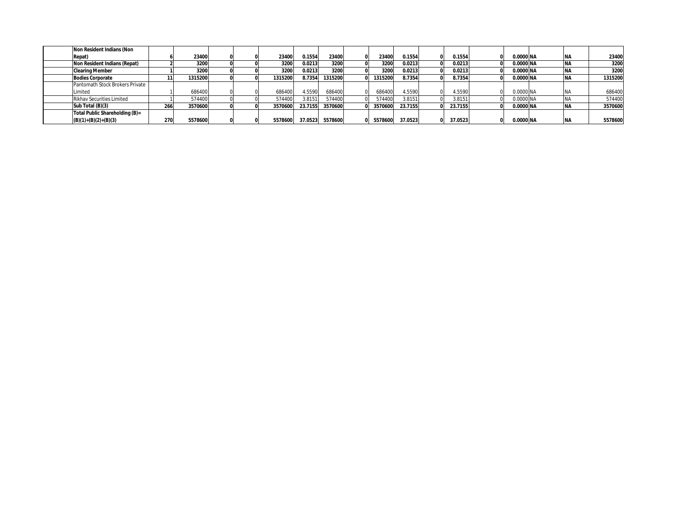| Non Resident Indians (Non       |     |         |  |         |         |         |         |         |         |           |            |         |
|---------------------------------|-----|---------|--|---------|---------|---------|---------|---------|---------|-----------|------------|---------|
| Repat)                          |     | 23400   |  | 23400   | 0.1554  | 23400   | 23400   | 0.1554  | 0.1554  | 0.0000 NA | <b>NA</b>  | 23400   |
| Non Resident Indians (Repat)    |     | 3200    |  | 3200    | 0.0213  | 3200    | 3200    | 0.0213  | 0.0213  | 0.0000 NA | <b>NA</b>  | 3200    |
| <b>Clearing Member</b>          |     | 3200    |  | 3200    | 0.0213  | 3200    | 3200    | 0.0213  | 0.0213  | 0.0000 NA | <b>INA</b> | 3200    |
| <b>Bodies Corporate</b>         |     | 1315200 |  | 1315200 | 8.7354  | 1315200 | 1315200 | 8.7354  | 8.7354  | 0.0000 NA | INA        | 1315200 |
| Pantomath Stock Brokers Private |     |         |  |         |         |         |         |         |         |           |            |         |
| <i>imited</i>                   |     | 686400  |  | 686400  | 1.5590  | 686400  | 686400  | 4.5590  | 4.5590  | 0.0000 NA | NA.        | 686400  |
| Rikhav Securities Limited       |     | 574400  |  | 574400  | 3.8151  | 574400  | 574400  | 3.8151  | 3.8151  | 0.0000 NA | .NA        | 574400  |
| Sub Total (B)(3)                | 266 | 3570600 |  | 3570600 | 23.7155 | 3570600 | 3570600 | 23.7155 | 23.7155 | 0.0000 NA | <b>NA</b>  | 3570600 |
| Total Public Shareholding (B)=  |     |         |  |         |         |         |         |         |         |           |            |         |
| $(B)(1)+(B)(2)+(B)(3)$          | 270 | 5578600 |  | 5578600 | 37.0523 | 5578600 | 5578600 | 37.0523 | 37.0523 | 0.0000 NA |            | 5578600 |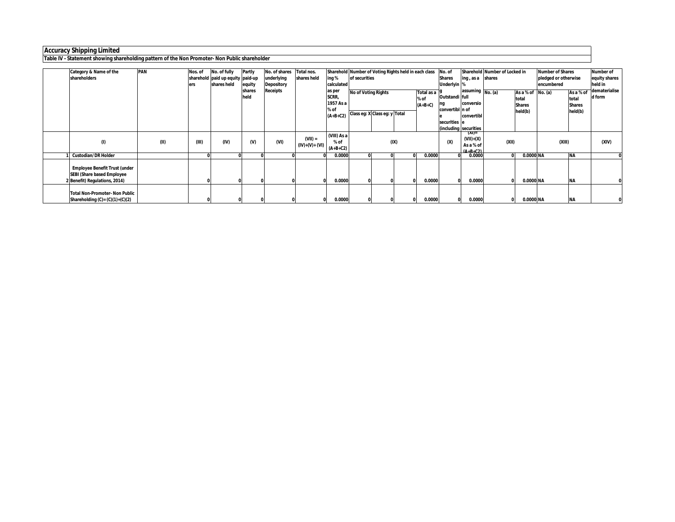**Table IV - Statement showing shareholding pattern of the Non Promoter- Non Public shareholder**

| Category & Name of the                                                                              | <b>PAN</b> | Nos. of | No. of fully                     | Partly         | No. of shares     | Total nos.                   |                                                    |               | Sharehold Number of Voting Rights held in each class        |      |                                 | No. of                                            |                                                                          | Sharehold Number of Locked in |                                                          | <b>Number of Shares</b> |                                                | <b>Number of</b>        |
|-----------------------------------------------------------------------------------------------------|------------|---------|----------------------------------|----------------|-------------------|------------------------------|----------------------------------------------------|---------------|-------------------------------------------------------------|------|---------------------------------|---------------------------------------------------|--------------------------------------------------------------------------|-------------------------------|----------------------------------------------------------|-------------------------|------------------------------------------------|-------------------------|
| shareholders                                                                                        |            |         | sharehold paid up equity paid-up |                | underlying        | shares held                  | ing %                                              | of securities |                                                             |      |                                 | <b>Shares</b>                                     | ling, as a shares                                                        |                               |                                                          | pledged or otherwise    |                                                | equity shares           |
|                                                                                                     |            | ers     | shares held                      | equity         | <b>Depository</b> |                              | calculated                                         |               |                                                             |      |                                 | Underlyin I'                                      |                                                                          |                               |                                                          | encumbered              |                                                | held in                 |
|                                                                                                     |            |         |                                  | shares<br>held | <b>Receipts</b>   |                              | as per<br>SCRR,<br>1957 As a<br>% of<br>$(A+B+C2)$ |               | <b>No of Voting Rights</b><br>Class eg: X Class eg: y Total |      | Total as a<br>% of<br>$(A+B+C)$ | Outstandi full<br>convertibl n of<br>securities e | assuming $N_0$ . (a)<br>conversio<br>convertibl<br>(including securities |                               | As a % of $No. (a)$<br>total<br><b>Shares</b><br>held(b) |                         | As a % of<br>total<br><b>Shares</b><br>held(b) | dematerialise<br>d form |
| $\left( 0\right)$                                                                                   | (II)       | (III)   | (IV)                             | $W$            | (VI)              | $(VII) =$<br>$(IV)+(V)+(VI)$ | (VIII) As a<br>% of<br>$(A+B+C2)$                  |               |                                                             | (IX) |                                 | (X)                                               | (AI)=<br>$(VII)+(X)$<br>As a % of<br>$(A+R+C2)$                          | (XII)                         |                                                          | (XIII)                  |                                                | (XIV)                   |
| <b>Custodian/DR Holder</b>                                                                          |            |         | 0                                |                |                   |                              | 0.0000                                             |               |                                                             |      | 0.0000                          |                                                   | 0.0000                                                                   |                               | 0.0000 NA                                                |                         | <b>NA</b>                                      |                         |
| <b>Employee Benefit Trust (under</b><br>SEBI (Share based Employee<br>2 Benefit) Regulations, 2014) |            |         |                                  |                |                   |                              | 0.0000                                             |               |                                                             |      | 0.0000                          |                                                   | 0.0000                                                                   |                               | 0.0000 NA                                                |                         | <b>NA</b>                                      |                         |
| <b>Total Non-Promoter- Non Public</b><br>Shareholding $(C) = (C)(1)+(C)(2)$                         |            |         |                                  |                |                   |                              | 0.0000                                             |               |                                                             |      | 0.0000                          |                                                   | 0.0000                                                                   |                               | 0.0000 NA                                                |                         | <b>NA</b>                                      |                         |